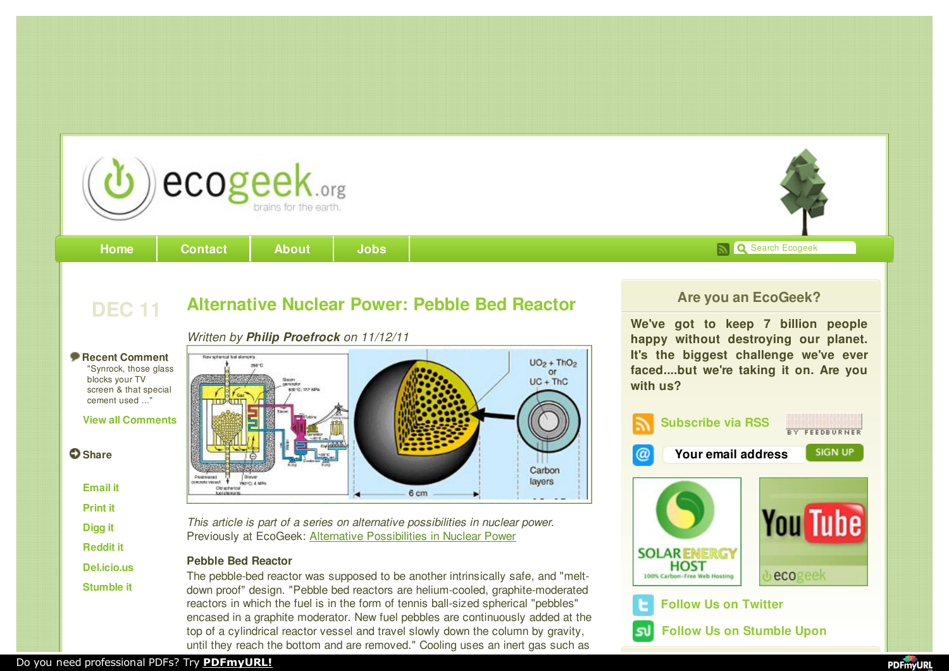

**DEC 11 [Alternative](http://www.ecogeek.org/component/content/article/3657) Nuclear Power: Pebble Bed Reactor**



**[Home](http://www.ecogeek.org/) | [Contact](http://www.ecogeek.org/about) | [About](http://www.ecogeek.org/about) | [Jobs](http://jobs.ecogeek.org/) |** Search Ecogeek | Search Ecogeek

*Written by Philip Proefrock on 11/12/11*

### **Recent Comment**

"Synrock, those glass blocks your TV screen & that special cement used ..."

### **View all [Comments](http://www.ecogeek.org/component/content/article/3657#written_comments_title)**

**O** Share

**[Email](http://www.ecogeek.org/component/mailto/?tmpl=component&link=aW5kZXgucGhwP29wdGlvbj1jb21fY29udGVudCZ2aWV3PWFydGljbGUmaWQ9MzY1NzpBbHRlcm5hdGl2ZSBOdWNsZWFyIFBvd2VyOiBQZWJibGUgQmVkIFJlYWN0b3ImY2F0aWQ9MzU%3D) it**

**[Print](http://www.ecogeek.org/component/content/article/35/3657-Alternative Nuclear Power- Pebble Bed Reactor?tmpl=component&print=1&page=) it**

- **[Digg](http://digg.com/submit?url=http://www.ecogeek.org/component/content/article/35/3657) it**
- **[Reddit](http://reddit.com/submit?url=http://www.ecogeek.org/component/content/article/35/3657/&title=Alternative Nuclear Power: Pebble Bed Reactor) it**
- **[Del.icio.us](http://del.icio.us/post?v=4&noui&jump=close&uri=http://www.ecogeek.org/component/content/article/35/3657/&title=Alternative Nuclear Power: Pebble Bed Reactor)**

**[Stumble](http://www.stumbleupon.com/newurl.php?url=http://www.ecogeek.org/component/content/article/35/3657/&rating=1) it**

*This article is part of a series on alternative possibilities in nuclear power.* Previously at EcoGeek: Alternative [Possibilities](http://www.ecogeek.org/ask-the-ecogeek/3656) in Nuclear Power

## **Pebble Bed Reactor**

The pebble-bed reactor was supposed to be another intrinsically safe, and "meltdown proof" design. "Pebble bed reactors are helium-cooled, graphite-moderated reactors in which the fuel is in the form of tennis ball-sized spherical "pebbles" encased in a graphite moderator. New fuel pebbles are continuously added at the top of a cylindrical reactor vessel and travel slowly down the column by gravity, until they reach the bottom and are removed." Cooling uses an inert gas such as

# **Are you an EcoGeek?**

**We've got to keep 7 billion people happy without destroying our planet. It's the biggest challenge we've ever faced....but we're taking it on. Are you with us?**